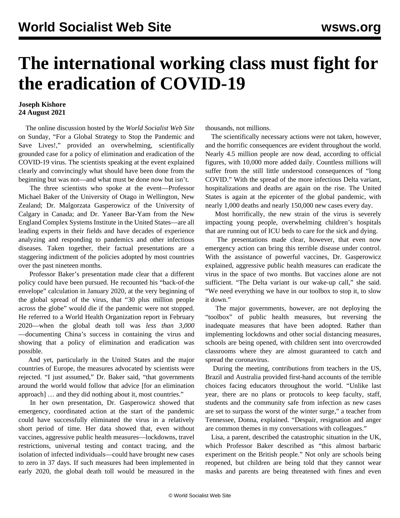## **The international working class must fight for the eradication of COVID-19**

## **Joseph Kishore 24 August 2021**

 The online discussion hosted by the *World Socialist Web Site* on Sunday, "[For a Global Strategy to Stop the Pandemic and](/en/special/pages/global-strategy-stop-pandemic-save-lives.html) [Save Lives!,](/en/special/pages/global-strategy-stop-pandemic-save-lives.html)" provided an overwhelming, scientifically grounded case for a policy of elimination and eradication of the COVID-19 virus. The scientists speaking at the event explained clearly and convincingly what should have been done from the beginning but was not—and what must be done now but isn't.

 The three scientists who spoke at the event—Professor Michael Baker of the University of Otago in Wellington, New Zealand; Dr. Malgorzata Gasperowicz of the University of Calgary in Canada; and Dr. Yaneer Bar-Yam from the New England Complex Systems Institute in the United States—are all leading experts in their fields and have decades of experience analyzing and responding to pandemics and other infectious diseases. Taken together, their factual presentations are a staggering indictment of the policies adopted by most countries over the past nineteen months.

 Professor Baker's presentation made clear that a different policy could have been pursued. He recounted his "back-of-the envelope" calculation in January 2020, at the very beginning of the global spread of the virus, that "30 plus million people across the globe" would die if the pandemic were not stopped. He referred to a World Health Organization report in February 2020—when the global death toll was *less than 3,000* —documenting China's success in containing the virus and showing that a policy of elimination and eradication was possible.

 And yet, particularly in the United States and the major countries of Europe, the measures advocated by scientists were rejected. "I just assumed," Dr. Baker said, "that governments around the world would follow that advice [for an elimination approach] … and they did nothing about it, most countries."

 In her own presentation, Dr. Gasperowicz showed that emergency, coordinated action at the start of the pandemic could have successfully eliminated the virus in a relatively short period of time. Her data showed that, even without vaccines, aggressive public health measures—lockdowns, travel restrictions, universal testing and contact tracing, and the isolation of infected individuals—could have brought new cases to zero in 37 days. If such measures had been implemented in early 2020, the global death toll would be measured in the thousands, not millions.

 The scientifically necessary actions were not taken, however, and the horrific consequences are evident throughout the world. Nearly 4.5 million people are now dead, according to official figures, with 10,000 more added daily. Countless millions will suffer from the still little understood consequences of "long COVID." With the spread of the more infectious Delta variant, hospitalizations and deaths are again on the rise. The United States is again at the epicenter of the global pandemic, with nearly 1,000 deaths and nearly 150,000 new cases every day.

 Most horrifically, the new strain of the virus is severely impacting young people, overwhelming children's hospitals that are running out of ICU beds to care for the sick and dying.

 The presentations made clear, however, that even now emergency action can bring this terrible disease under control. With the assistance of powerful vaccines, Dr. Gasperowicz explained, aggressive public health measures can eradicate the virus in the space of two months. But vaccines alone are not sufficient. "The Delta variant is our wake-up call," she said. "We need everything we have in our toolbox to stop it, to slow it down."

 The major governments, however, are not deploying the "toolbox" of public health measures, but reversing the inadequate measures that have been adopted. Rather than implementing lockdowns and other social distancing measures, schools are being opened, with children sent into overcrowded classrooms where they are almost guaranteed to catch and spread the coronavirus.

 During the meeting, contributions from teachers in the US, Brazil and Australia provided first-hand accounts of the terrible choices facing educators throughout the world. "Unlike last year, there are no plans or protocols to keep faculty, staff, students and the community safe from infection as new cases are set to surpass the worst of the winter surge," a teacher from Tennessee, Donna, explained. "Despair, resignation and anger are common themes in my conversations with colleagues."

 Lisa, a parent, described the catastrophic situation in the UK, which Professor Baker described as "this almost barbaric experiment on the British people." Not only are schools being reopened, but children are being told that they cannot wear masks and parents are being threatened with fines and even